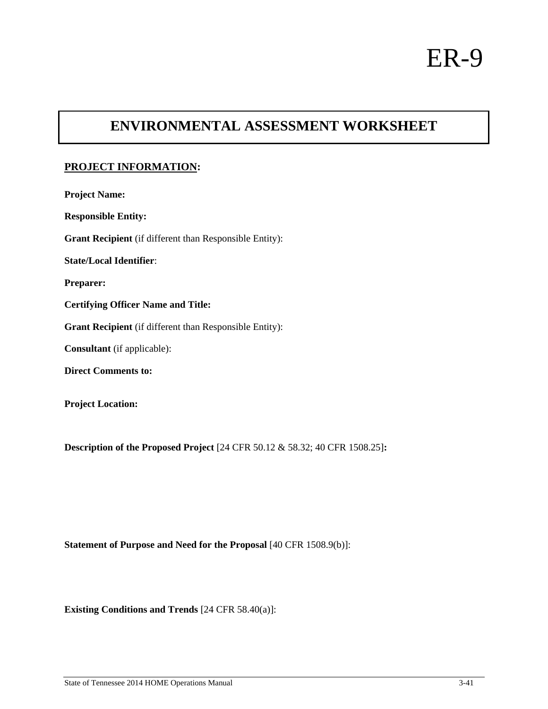# **ENVIRONMENTAL ASSESSMENT WORKSHEET**

# **PROJECT INFORMATION:**

| <b>Project Name:</b>                                           |
|----------------------------------------------------------------|
| <b>Responsible Entity:</b>                                     |
| <b>Grant Recipient</b> (if different than Responsible Entity): |
| <b>State/Local Identifier:</b>                                 |
| <b>Preparer:</b>                                               |
| <b>Certifying Officer Name and Title:</b>                      |
| Grant Recipient (if different than Responsible Entity):        |
| <b>Consultant</b> (if applicable):                             |
| <b>Direct Comments to:</b>                                     |
| <b>Project Location:</b>                                       |

**Description of the Proposed Project** [24 CFR 50.12 & 58.32; 40 CFR 1508.25]**:** 

**Statement of Purpose and Need for the Proposal** [40 CFR 1508.9(b)]:

**Existing Conditions and Trends** [24 CFR 58.40(a)]: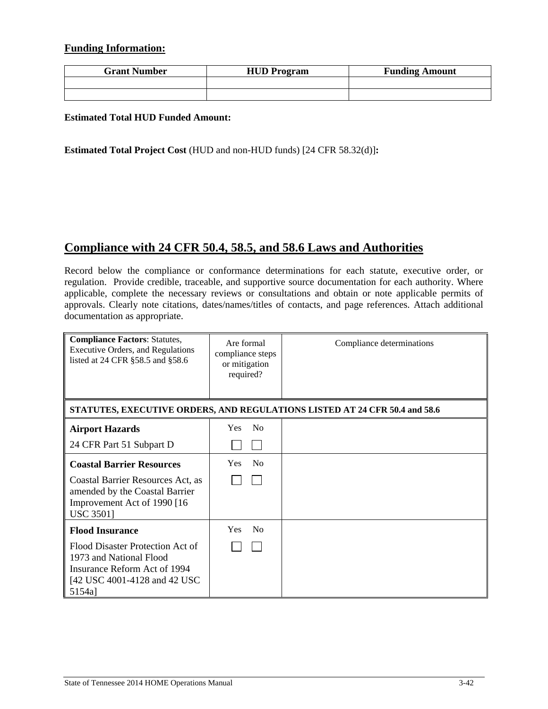### **Funding Information:**

| <b>Grant Number</b> | <b>HUD Program</b> | <b>Funding Amount</b> |
|---------------------|--------------------|-----------------------|
|                     |                    |                       |
|                     |                    |                       |

### **Estimated Total HUD Funded Amount:**

**Estimated Total Project Cost** (HUD and non-HUD funds) [24 CFR 58.32(d)]**:**

# **Compliance with 24 CFR 50.4, 58.5, and 58.6 Laws and Authorities**

Record below the compliance or conformance determinations for each statute, executive order, or regulation. Provide credible, traceable, and supportive source documentation for each authority. Where applicable, complete the necessary reviews or consultations and obtain or note applicable permits of approvals. Clearly note citations, dates/names/titles of contacts, and page references. Attach additional documentation as appropriate.

| <b>Compliance Factors: Statutes,</b><br><b>Executive Orders, and Regulations</b><br>listed at 24 CFR §58.5 and §58.6                   | Are formal<br>compliance steps<br>or mitigation<br>required? | Compliance determinations                                                  |
|----------------------------------------------------------------------------------------------------------------------------------------|--------------------------------------------------------------|----------------------------------------------------------------------------|
|                                                                                                                                        |                                                              | STATUTES, EXECUTIVE ORDERS, AND REGULATIONS LISTED AT 24 CFR 50.4 and 58.6 |
| <b>Airport Hazards</b>                                                                                                                 | N <sub>0</sub><br>Yes                                        |                                                                            |
| 24 CFR Part 51 Subpart D                                                                                                               |                                                              |                                                                            |
| <b>Coastal Barrier Resources</b>                                                                                                       | N <sub>0</sub><br><b>Yes</b>                                 |                                                                            |
| Coastal Barrier Resources Act, as<br>amended by the Coastal Barrier<br>Improvement Act of 1990 [16]<br><b>USC 3501]</b>                |                                                              |                                                                            |
| <b>Flood Insurance</b>                                                                                                                 | <b>Yes</b><br>N <sub>0</sub>                                 |                                                                            |
| Flood Disaster Protection Act of<br>1973 and National Flood<br>Insurance Reform Act of 1994<br>[42 USC 4001-4128 and 42 USC]<br>5154a] |                                                              |                                                                            |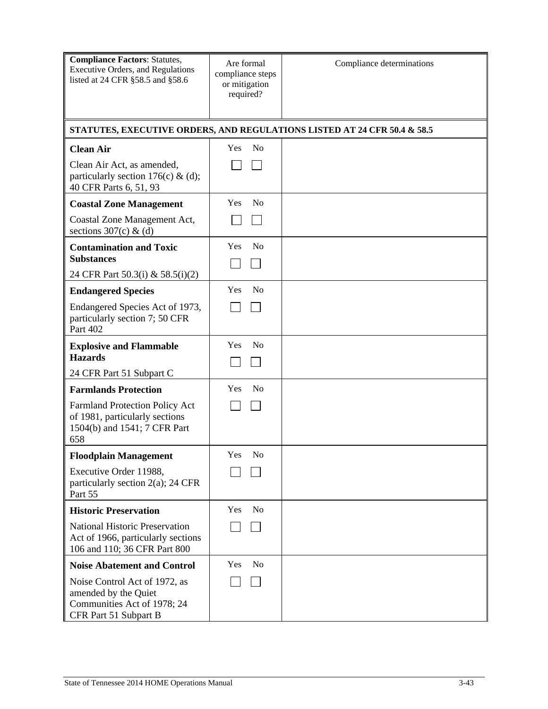| <b>Compliance Factors: Statutes,</b><br><b>Executive Orders, and Regulations</b><br>listed at 24 CFR §58.5 and §58.6 | Are formal<br>compliance steps<br>or mitigation<br>required? | Compliance determinations                                                |
|----------------------------------------------------------------------------------------------------------------------|--------------------------------------------------------------|--------------------------------------------------------------------------|
|                                                                                                                      |                                                              | STATUTES, EXECUTIVE ORDERS, AND REGULATIONS LISTED AT 24 CFR 50.4 & 58.5 |
| <b>Clean Air</b>                                                                                                     | No<br><b>Yes</b>                                             |                                                                          |
| Clean Air Act, as amended,<br>particularly section 176(c) & (d);<br>40 CFR Parts 6, 51, 93                           |                                                              |                                                                          |
| <b>Coastal Zone Management</b>                                                                                       | N <sub>o</sub><br>Yes                                        |                                                                          |
| Coastal Zone Management Act,<br>sections $307(c)$ & (d)                                                              |                                                              |                                                                          |
| <b>Contamination and Toxic</b><br><b>Substances</b>                                                                  | N <sub>o</sub><br>Yes                                        |                                                                          |
| 24 CFR Part 50.3(i) & 58.5(i)(2)                                                                                     |                                                              |                                                                          |
| <b>Endangered Species</b>                                                                                            | N <sub>o</sub><br>Yes                                        |                                                                          |
| Endangered Species Act of 1973,<br>particularly section 7; 50 CFR<br>Part 402                                        |                                                              |                                                                          |
| <b>Explosive and Flammable</b><br><b>Hazards</b>                                                                     | Yes<br>N <sub>o</sub>                                        |                                                                          |
| 24 CFR Part 51 Subpart C                                                                                             |                                                              |                                                                          |
| <b>Farmlands Protection</b>                                                                                          | Yes<br>N <sub>0</sub>                                        |                                                                          |
| <b>Farmland Protection Policy Act</b><br>of 1981, particularly sections<br>1504(b) and 1541; 7 CFR Part<br>658       |                                                              |                                                                          |
| <b>Floodplain Management</b>                                                                                         | Yes<br>N <sub>o</sub>                                        |                                                                          |
| Executive Order 11988,<br>particularly section $2(a)$ ; 24 CFR<br>Part 55                                            |                                                              |                                                                          |
| <b>Historic Preservation</b>                                                                                         | N <sub>o</sub><br>Yes                                        |                                                                          |
| <b>National Historic Preservation</b><br>Act of 1966, particularly sections<br>106 and 110; 36 CFR Part 800          |                                                              |                                                                          |
| <b>Noise Abatement and Control</b>                                                                                   | Yes<br>N <sub>0</sub>                                        |                                                                          |
| Noise Control Act of 1972, as<br>amended by the Quiet<br>Communities Act of 1978; 24<br>CFR Part 51 Subpart B        |                                                              |                                                                          |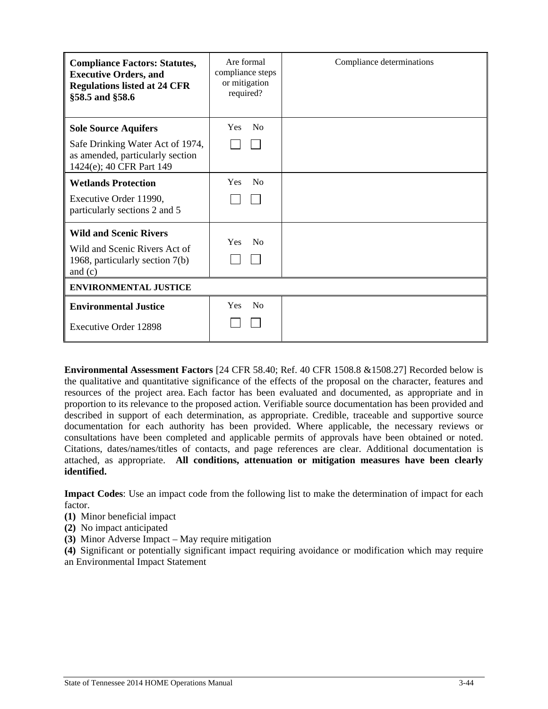| <b>Compliance Factors: Statutes,</b><br><b>Executive Orders, and</b><br><b>Regulations listed at 24 CFR</b><br>§58.5 and §58.6 | Are formal<br>compliance steps<br>or mitigation<br>required? | Compliance determinations |  |
|--------------------------------------------------------------------------------------------------------------------------------|--------------------------------------------------------------|---------------------------|--|
| <b>Sole Source Aquifers</b>                                                                                                    | N <sub>0</sub><br><b>Yes</b>                                 |                           |  |
| Safe Drinking Water Act of 1974,<br>as amended, particularly section<br>1424(e); 40 CFR Part 149                               |                                                              |                           |  |
| <b>Wetlands Protection</b>                                                                                                     | N <sub>0</sub><br><b>Yes</b>                                 |                           |  |
| Executive Order 11990,<br>particularly sections 2 and 5                                                                        |                                                              |                           |  |
| <b>Wild and Scenic Rivers</b><br>Wild and Scenic Rivers Act of<br>1968, particularly section 7(b)<br>and $(c)$                 | <b>Yes</b><br>N <sub>0</sub>                                 |                           |  |
| <b>ENVIRONMENTAL JUSTICE</b>                                                                                                   |                                                              |                           |  |
| <b>Environmental Justice</b>                                                                                                   | N <sub>0</sub><br>Yes                                        |                           |  |
| <b>Executive Order 12898</b>                                                                                                   |                                                              |                           |  |

**Environmental Assessment Factors** [24 CFR 58.40; Ref. 40 CFR 1508.8 &1508.27] Recorded below is the qualitative and quantitative significance of the effects of the proposal on the character, features and resources of the project area. Each factor has been evaluated and documented, as appropriate and in proportion to its relevance to the proposed action. Verifiable source documentation has been provided and described in support of each determination, as appropriate. Credible, traceable and supportive source documentation for each authority has been provided. Where applicable, the necessary reviews or consultations have been completed and applicable permits of approvals have been obtained or noted. Citations, dates/names/titles of contacts, and page references are clear. Additional documentation is attached, as appropriate. **All conditions, attenuation or mitigation measures have been clearly identified.**

**Impact Codes**: Use an impact code from the following list to make the determination of impact for each factor.

- **(1)** Minor beneficial impact
- **(2)** No impact anticipated
- **(3)** Minor Adverse Impact May require mitigation

**(4)** Significant or potentially significant impact requiring avoidance or modification which may require an Environmental Impact Statement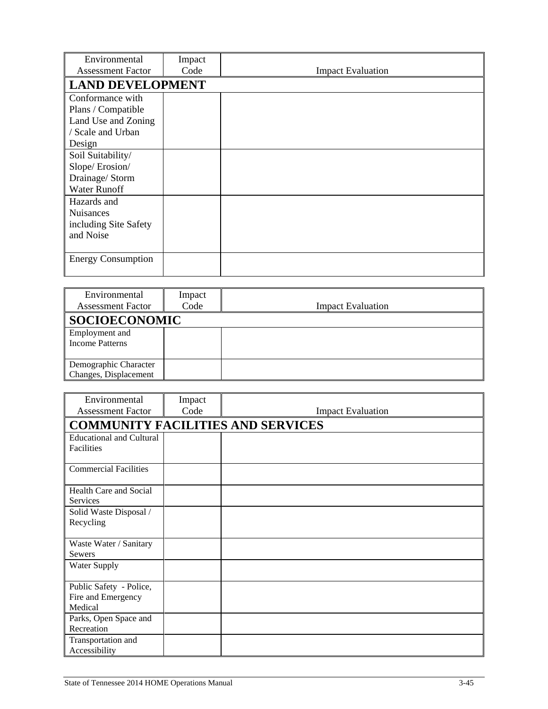| Environmental<br><b>Assessment Factor</b>                                                    | Impact<br>Code          | <b>Impact Evaluation</b> |  |  |  |
|----------------------------------------------------------------------------------------------|-------------------------|--------------------------|--|--|--|
|                                                                                              | <b>LAND DEVELOPMENT</b> |                          |  |  |  |
| Conformance with<br>Plans / Compatible<br>Land Use and Zoning<br>/ Scale and Urban<br>Design |                         |                          |  |  |  |
| Soil Suitability/<br>Slope/Erosion/<br>Drainage/ Storm<br><b>Water Runoff</b>                |                         |                          |  |  |  |
| Hazards and<br><b>Nuisances</b><br>including Site Safety<br>and Noise                        |                         |                          |  |  |  |
| <b>Energy Consumption</b>                                                                    |                         |                          |  |  |  |

| Environmental<br><b>Assessment Factor</b>      | Impact<br>Code | <b>Impact Evaluation</b> |  |  |
|------------------------------------------------|----------------|--------------------------|--|--|
| <b>SOCIOECONOMIC</b>                           |                |                          |  |  |
| Employment and<br><b>Income Patterns</b>       |                |                          |  |  |
| Demographic Character<br>Changes, Displacement |                |                          |  |  |

| Environmental                   | Impact |                                          |
|---------------------------------|--------|------------------------------------------|
| <b>Assessment Factor</b>        | Code   | <b>Impact Evaluation</b>                 |
|                                 |        | <b>COMMUNITY FACILITIES AND SERVICES</b> |
| <b>Educational and Cultural</b> |        |                                          |
| Facilities                      |        |                                          |
| <b>Commercial Facilities</b>    |        |                                          |
| Health Care and Social          |        |                                          |
| <b>Services</b>                 |        |                                          |
| Solid Waste Disposal /          |        |                                          |
| Recycling                       |        |                                          |
| Waste Water / Sanitary          |        |                                          |
| <b>Sewers</b>                   |        |                                          |
| <b>Water Supply</b>             |        |                                          |
| Public Safety - Police,         |        |                                          |
| Fire and Emergency              |        |                                          |
| Medical                         |        |                                          |
| Parks, Open Space and           |        |                                          |
| Recreation                      |        |                                          |
| Transportation and              |        |                                          |
| Accessibility                   |        |                                          |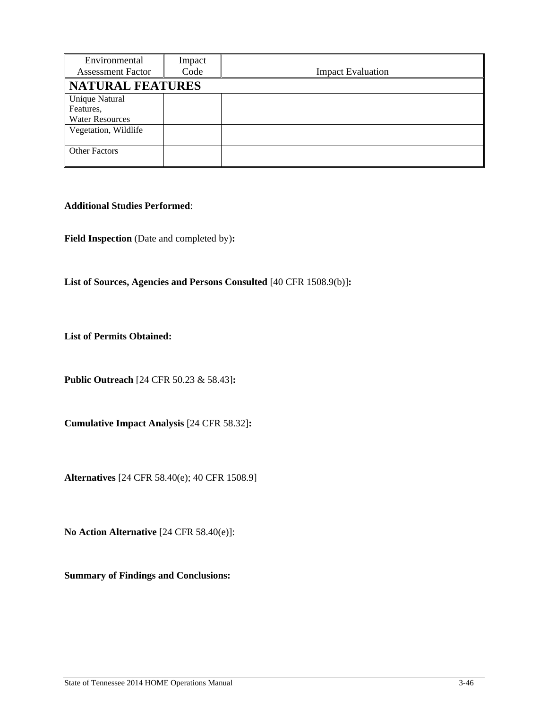| Environmental<br><b>Assessment Factor</b>                    | Impact<br>Code | <b>Impact Evaluation</b> |
|--------------------------------------------------------------|----------------|--------------------------|
| <b>NATURAL FEATURES</b>                                      |                |                          |
| <b>Unique Natural</b><br>Features.<br><b>Water Resources</b> |                |                          |
| Vegetation, Wildlife                                         |                |                          |
| <b>Other Factors</b>                                         |                |                          |

### **Additional Studies Performed**:

Field Inspection (Date and completed by):

List of Sources, Agencies and Persons Consulted [40 CFR 1508.9(b)]:

**List of Permits Obtained:** 

**Public Outreach** [24 CFR 50.23 & 58.43]**:** 

**Cumulative Impact Analysis** [24 CFR 58.32]**:** 

**Alternatives** [24 CFR 58.40(e); 40 CFR 1508.9]

**No Action Alternative** [24 CFR 58.40(e)]:

**Summary of Findings and Conclusions:**